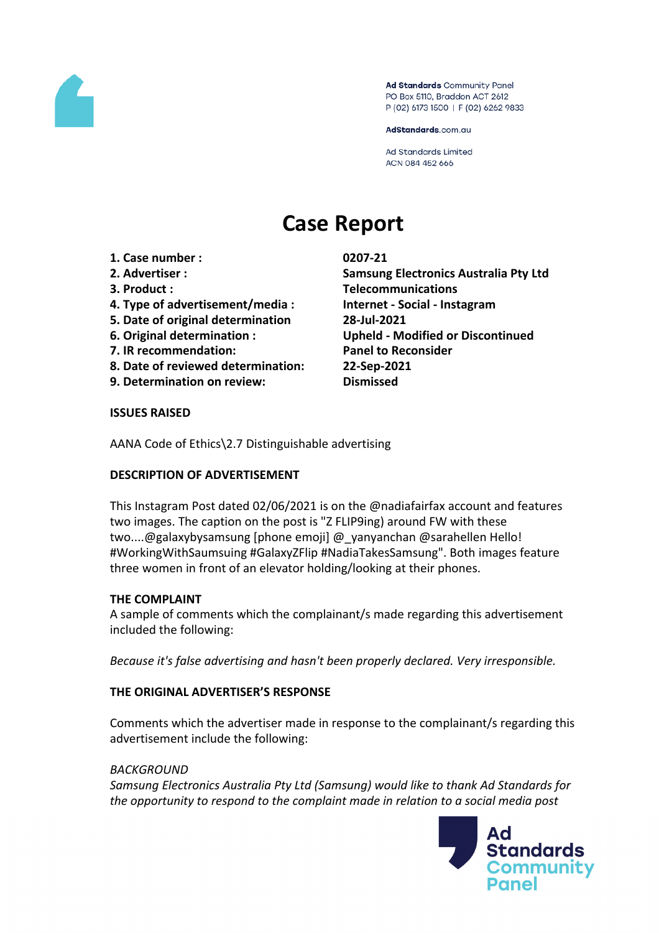

Ad Standards Community Panel PO Box 5110, Braddon ACT 2612 P (02) 6173 1500 | F (02) 6262 9833

AdStandards.com.au

**Ad Standards Limited** ACN 084 452 666

# **Case Report**

- **1. Case number : 0207-21**
- 
- 
- **4. Type of advertisement/media : Internet - Social - Instagram**
- **5. Date of original determination 28-Jul-2021**
- 
- **7. IR recommendation: Panel to Reconsider**
- **8. Date of reviewed determination: 22-Sep-2021**
- **9. Determination on review: Dismissed**

**2. Advertiser : Samsung Electronics Australia Pty Ltd 3. Product : Telecommunications 6. Original determination : Upheld - Modified or Discontinued**

#### **ISSUES RAISED**

AANA Code of Ethics\2.7 Distinguishable advertising

# **DESCRIPTION OF ADVERTISEMENT**

This Instagram Post dated 02/06/2021 is on the @nadiafairfax account and features two images. The caption on the post is "Z FLIP9ing) around FW with these two....@galaxybysamsung [phone emoji] @\_yanyanchan @sarahellen Hello! #WorkingWithSaumsuing #GalaxyZFlip #NadiaTakesSamsung". Both images feature three women in front of an elevator holding/looking at their phones.

# **THE COMPLAINT**

A sample of comments which the complainant/s made regarding this advertisement included the following:

*Because it's false advertising and hasn't been properly declared. Very irresponsible.*

# **THE ORIGINAL ADVERTISER'S RESPONSE**

Comments which the advertiser made in response to the complainant/s regarding this advertisement include the following:

#### *BACKGROUND*

*Samsung Electronics Australia Pty Ltd (Samsung) would like to thank Ad Standards for the opportunity to respond to the complaint made in relation to a social media post*

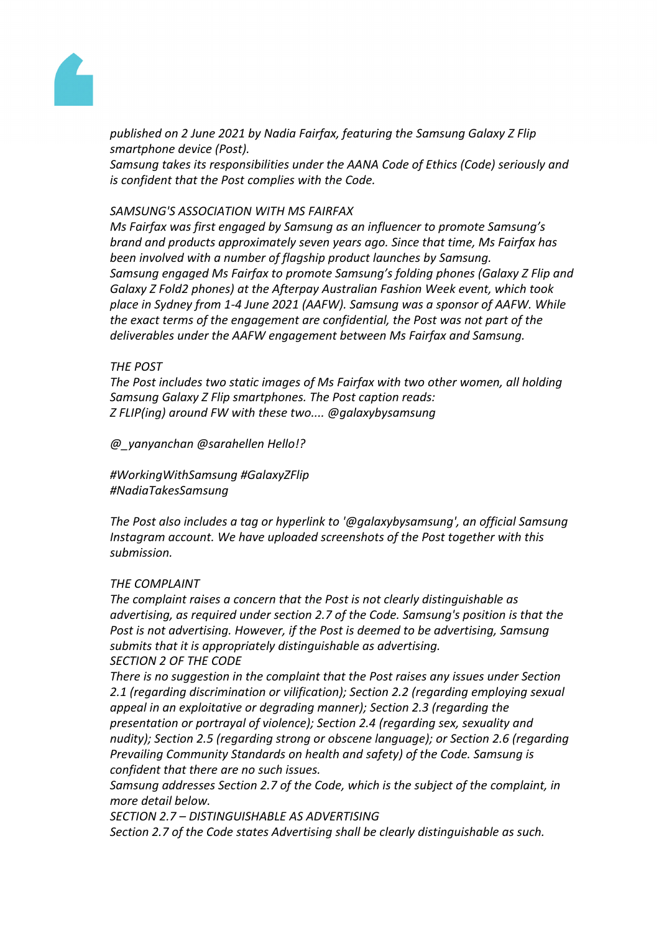

*published on 2 June 2021 by Nadia Fairfax, featuring the Samsung Galaxy Z Flip smartphone device (Post).*

*Samsung takes its responsibilities under the AANA Code of Ethics (Code) seriously and is confident that the Post complies with the Code.*

#### *SAMSUNG'S ASSOCIATION WITH MS FAIRFAX*

*Ms Fairfax was first engaged by Samsung as an influencer to promote Samsung's brand and products approximately seven years ago. Since that time, Ms Fairfax has been involved with a number of flagship product launches by Samsung. Samsung engaged Ms Fairfax to promote Samsung's folding phones (Galaxy Z Flip and Galaxy Z Fold2 phones) at the Afterpay Australian Fashion Week event, which took place in Sydney from 1-4 June 2021 (AAFW). Samsung was a sponsor of AAFW. While the exact terms of the engagement are confidential, the Post was not part of the deliverables under the AAFW engagement between Ms Fairfax and Samsung.*

#### *THE POST*

*The Post includes two static images of Ms Fairfax with two other women, all holding Samsung Galaxy Z Flip smartphones. The Post caption reads: Z FLIP(ing) around FW with these two.... @galaxybysamsung*

*@\_yanyanchan @sarahellen Hello!?*

*#WorkingWithSamsung #GalaxyZFlip #NadiaTakesSamsung*

*The Post also includes a tag or hyperlink to '@galaxybysamsung', an official Samsung Instagram account. We have uploaded screenshots of the Post together with this submission.*

#### *THE COMPLAINT*

*The complaint raises a concern that the Post is not clearly distinguishable as advertising, as required under section 2.7 of the Code. Samsung's position is that the Post is not advertising. However, if the Post is deemed to be advertising, Samsung submits that it is appropriately distinguishable as advertising. SECTION 2 OF THE CODE*

*There is no suggestion in the complaint that the Post raises any issues under Section 2.1 (regarding discrimination or vilification); Section 2.2 (regarding employing sexual appeal in an exploitative or degrading manner); Section 2.3 (regarding the presentation or portrayal of violence); Section 2.4 (regarding sex, sexuality and nudity); Section 2.5 (regarding strong or obscene language); or Section 2.6 (regarding Prevailing Community Standards on health and safety) of the Code. Samsung is confident that there are no such issues.*

*Samsung addresses Section 2.7 of the Code, which is the subject of the complaint, in more detail below.*

*SECTION 2.7 – DISTINGUISHABLE AS ADVERTISING Section 2.7 of the Code states Advertising shall be clearly distinguishable as such.*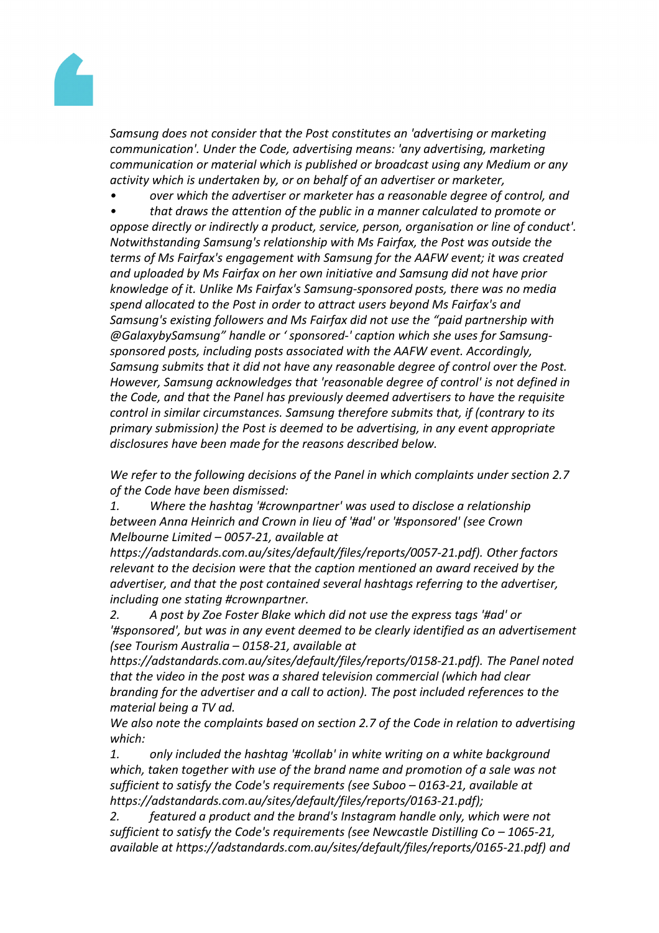

*Samsung does not consider that the Post constitutes an 'advertising or marketing communication'. Under the Code, advertising means: 'any advertising, marketing communication or material which is published or broadcast using any Medium or any activity which is undertaken by, or on behalf of an advertiser or marketer,*

*• over which the advertiser or marketer has a reasonable degree of control, and*

*• that draws the attention of the public in a manner calculated to promote or oppose directly or indirectly a product, service, person, organisation or line of conduct'. Notwithstanding Samsung's relationship with Ms Fairfax, the Post was outside the terms of Ms Fairfax's engagement with Samsung for the AAFW event; it was created and uploaded by Ms Fairfax on her own initiative and Samsung did not have prior knowledge of it. Unlike Ms Fairfax's Samsung-sponsored posts, there was no media spend allocated to the Post in order to attract users beyond Ms Fairfax's and Samsung's existing followers and Ms Fairfax did not use the "paid partnership with @GalaxybySamsung" handle or ' sponsored-' caption which she uses for Samsungsponsored posts, including posts associated with the AAFW event. Accordingly, Samsung submits that it did not have any reasonable degree of control over the Post. However, Samsung acknowledges that 'reasonable degree of control' is not defined in the Code, and that the Panel has previously deemed advertisers to have the requisite control in similar circumstances. Samsung therefore submits that, if (contrary to its primary submission) the Post is deemed to be advertising, in any event appropriate disclosures have been made for the reasons described below.*

*We refer to the following decisions of the Panel in which complaints under section 2.7 of the Code have been dismissed:*

*1. Where the hashtag '#crownpartner' was used to disclose a relationship between Anna Heinrich and Crown in Iieu of '#ad' or '#sponsored' (see Crown Melbourne Limited – 0057-21, available at*

*https://adstandards.com.au/sites/default/files/reports/0057-21.pdf). Other factors relevant to the decision were that the caption mentioned an award received by the advertiser, and that the post contained several hashtags referring to the advertiser, including one stating #crownpartner.*

*2. A post by Zoe Foster Blake which did not use the express tags '#ad' or '#sponsored', but was in any event deemed to be clearly identified as an advertisement (see Tourism Australia – 0158-21, available at*

*https://adstandards.com.au/sites/default/files/reports/0158-21.pdf). The Panel noted that the video in the post was a shared television commercial (which had clear branding for the advertiser and a call to action). The post included references to the material being a TV ad.*

*We also note the complaints based on section 2.7 of the Code in relation to advertising which:*

*1. only included the hashtag '#collab' in white writing on a white background which, taken together with use of the brand name and promotion of a sale was not sufficient to satisfy the Code's requirements (see Suboo – 0163-21, available at https://adstandards.com.au/sites/default/files/reports/0163-21.pdf);*

*2. featured a product and the brand's Instagram handle only, which were not sufficient to satisfy the Code's requirements (see Newcastle Distilling Co – 1065-21, available at https://adstandards.com.au/sites/default/files/reports/0165-21.pdf) and*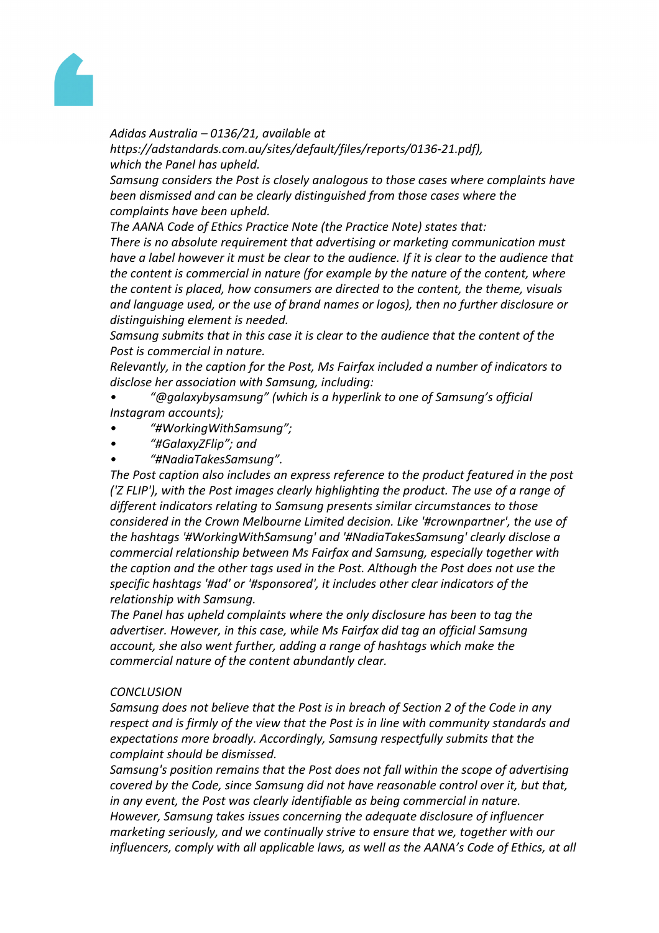

#### *Adidas Australia – 0136/21, available at*

*https://adstandards.com.au/sites/default/files/reports/0136-21.pdf), which the Panel has upheld.*

*Samsung considers the Post is closely analogous to those cases where complaints have been dismissed and can be clearly distinguished from those cases where the complaints have been upheld.* 

*The AANA Code of Ethics Practice Note (the Practice Note) states that:*

*There is no absolute requirement that advertising or marketing communication must have a label however it must be clear to the audience. If it is clear to the audience that the content is commercial in nature (for example by the nature of the content, where the content is placed, how consumers are directed to the content, the theme, visuals and language used, or the use of brand names or logos), then no further disclosure or distinguishing element is needed.*

*Samsung submits that in this case it is clear to the audience that the content of the Post is commercial in nature.*

*Relevantly, in the caption for the Post, Ms Fairfax included a number of indicators to disclose her association with Samsung, including:*

- *• "@galaxybysamsung" (which is a hyperlink to one of Samsung's official Instagram accounts);*
- *• "#WorkingWithSamsung";*
- *• "#GalaxyZFlip"; and*
- *• "#NadiaTakesSamsung".*

*The Post caption also includes an express reference to the product featured in the post ('Z FLIP'), with the Post images clearly highlighting the product. The use of a range of different indicators relating to Samsung presents similar circumstances to those considered in the Crown Melbourne Limited decision. Like '#crownpartner', the use of the hashtags '#WorkingWithSamsung' and '#NadiaTakesSamsung' clearly disclose a commercial relationship between Ms Fairfax and Samsung, especially together with the caption and the other tags used in the Post. Although the Post does not use the specific hashtags '#ad' or '#sponsored', it includes other clear indicators of the relationship with Samsung.*

*The Panel has upheld complaints where the only disclosure has been to tag the advertiser. However, in this case, while Ms Fairfax did tag an official Samsung account, she also went further, adding a range of hashtags which make the commercial nature of the content abundantly clear.*

#### *CONCLUSION*

*Samsung does not believe that the Post is in breach of Section 2 of the Code in any respect and is firmly of the view that the Post is in line with community standards and expectations more broadly. Accordingly, Samsung respectfully submits that the complaint should be dismissed.*

*Samsung's position remains that the Post does not fall within the scope of advertising covered by the Code, since Samsung did not have reasonable control over it, but that, in any event, the Post was clearly identifiable as being commercial in nature. However, Samsung takes issues concerning the adequate disclosure of influencer marketing seriously, and we continually strive to ensure that we, together with our influencers, comply with all applicable laws, as well as the AANA's Code of Ethics, at all*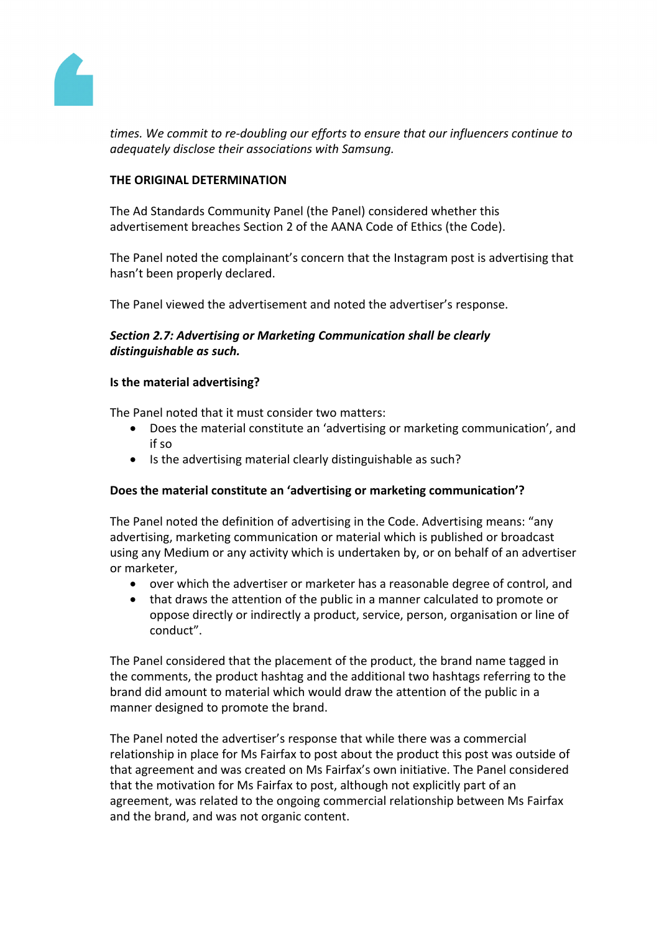

*times. We commit to re-doubling our efforts to ensure that our influencers continue to adequately disclose their associations with Samsung.*

## **THE ORIGINAL DETERMINATION**

The Ad Standards Community Panel (the Panel) considered whether this advertisement breaches Section 2 of the AANA Code of Ethics (the Code).

The Panel noted the complainant's concern that the Instagram post is advertising that hasn't been properly declared.

The Panel viewed the advertisement and noted the advertiser's response.

## *Section 2.7: Advertising or Marketing Communication shall be clearly distinguishable as such.*

## **Is the material advertising?**

The Panel noted that it must consider two matters:

- Does the material constitute an 'advertising or marketing communication', and if so
- Is the advertising material clearly distinguishable as such?

#### **Does the material constitute an 'advertising or marketing communication'?**

The Panel noted the definition of advertising in the Code. Advertising means: "any advertising, marketing communication or material which is published or broadcast using any Medium or any activity which is undertaken by, or on behalf of an advertiser or marketer,

- over which the advertiser or marketer has a reasonable degree of control, and
- that draws the attention of the public in a manner calculated to promote or oppose directly or indirectly a product, service, person, organisation or line of conduct".

The Panel considered that the placement of the product, the brand name tagged in the comments, the product hashtag and the additional two hashtags referring to the brand did amount to material which would draw the attention of the public in a manner designed to promote the brand.

The Panel noted the advertiser's response that while there was a commercial relationship in place for Ms Fairfax to post about the product this post was outside of that agreement and was created on Ms Fairfax's own initiative. The Panel considered that the motivation for Ms Fairfax to post, although not explicitly part of an agreement, was related to the ongoing commercial relationship between Ms Fairfax and the brand, and was not organic content.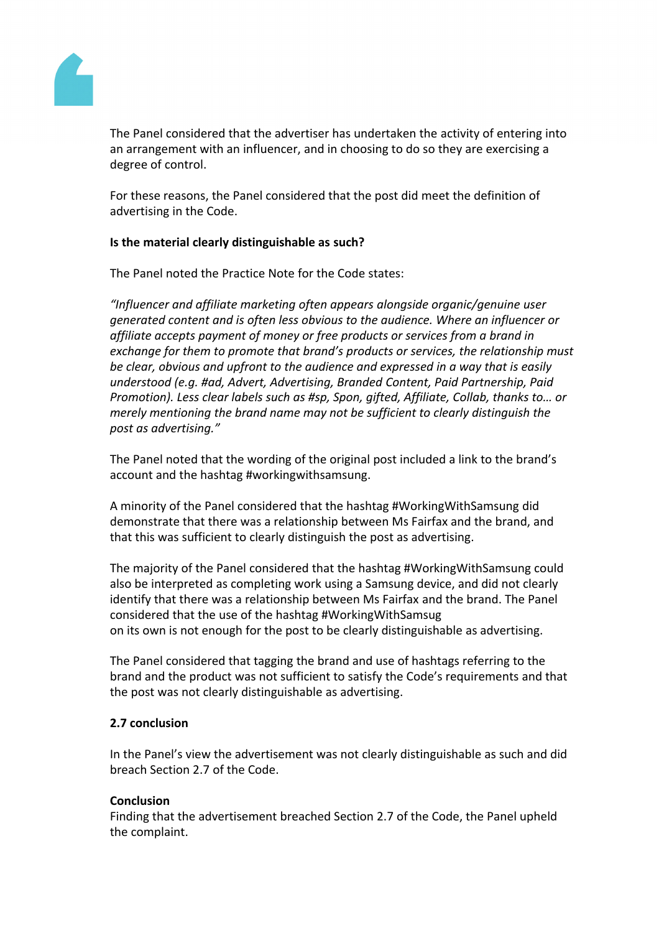

The Panel considered that the advertiser has undertaken the activity of entering into an arrangement with an influencer, and in choosing to do so they are exercising a degree of control.

For these reasons, the Panel considered that the post did meet the definition of advertising in the Code.

## **Is the material clearly distinguishable as such?**

The Panel noted the Practice Note for the Code states:

*"Influencer and affiliate marketing often appears alongside organic/genuine user generated content and is often less obvious to the audience. Where an influencer or affiliate accepts payment of money or free products or services from a brand in exchange for them to promote that brand's products or services, the relationship must be clear, obvious and upfront to the audience and expressed in a way that is easily understood (e.g. #ad, Advert, Advertising, Branded Content, Paid Partnership, Paid Promotion). Less clear labels such as #sp, Spon, gifted, Affiliate, Collab, thanks to… or merely mentioning the brand name may not be sufficient to clearly distinguish the post as advertising."*

The Panel noted that the wording of the original post included a link to the brand's account and the hashtag #workingwithsamsung.

A minority of the Panel considered that the hashtag #WorkingWithSamsung did demonstrate that there was a relationship between Ms Fairfax and the brand, and that this was sufficient to clearly distinguish the post as advertising.

The majority of the Panel considered that the hashtag #WorkingWithSamsung could also be interpreted as completing work using a Samsung device, and did not clearly identify that there was a relationship between Ms Fairfax and the brand. The Panel considered that the use of the hashtag #WorkingWithSamsug on its own is not enough for the post to be clearly distinguishable as advertising.

The Panel considered that tagging the brand and use of hashtags referring to the brand and the product was not sufficient to satisfy the Code's requirements and that the post was not clearly distinguishable as advertising.

## **2.7 conclusion**

In the Panel's view the advertisement was not clearly distinguishable as such and did breach Section 2.7 of the Code.

#### **Conclusion**

Finding that the advertisement breached Section 2.7 of the Code, the Panel upheld the complaint.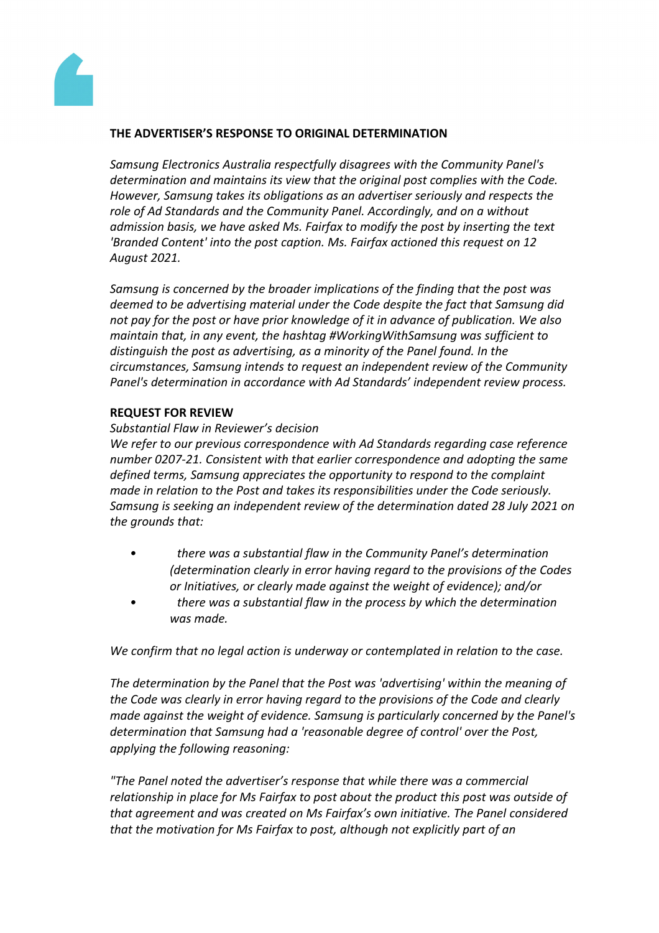

#### **THE ADVERTISER'S RESPONSE TO ORIGINAL DETERMINATION**

*Samsung Electronics Australia respectfully disagrees with the Community Panel's determination and maintains its view that the original post complies with the Code. However, Samsung takes its obligations as an advertiser seriously and respects the role of Ad Standards and the Community Panel. Accordingly, and on a without admission basis, we have asked Ms. Fairfax to modify the post by inserting the text 'Branded Content' into the post caption. Ms. Fairfax actioned this request on 12 August 2021.*

*Samsung is concerned by the broader implications of the finding that the post was deemed to be advertising material under the Code despite the fact that Samsung did not pay for the post or have prior knowledge of it in advance of publication. We also maintain that, in any event, the hashtag #WorkingWithSamsung was sufficient to distinguish the post as advertising, as a minority of the Panel found. In the circumstances, Samsung intends to request an independent review of the Community Panel's determination in accordance with Ad Standards' independent review process.*

#### **REQUEST FOR REVIEW**

#### *Substantial Flaw in Reviewer's decision*

*We refer to our previous correspondence with Ad Standards regarding case reference number 0207-21. Consistent with that earlier correspondence and adopting the same defined terms, Samsung appreciates the opportunity to respond to the complaint made in relation to the Post and takes its responsibilities under the Code seriously. Samsung is seeking an independent review of the determination dated 28 July 2021 on the grounds that:*

- *• there was a substantial flaw in the Community Panel's determination (determination clearly in error having regard to the provisions of the Codes or Initiatives, or clearly made against the weight of evidence); and/or*
- *• there was a substantial flaw in the process by which the determination was made.*

*We confirm that no legal action is underway or contemplated in relation to the case.*

*The determination by the Panel that the Post was 'advertising' within the meaning of the Code was clearly in error having regard to the provisions of the Code and clearly made against the weight of evidence. Samsung is particularly concerned by the Panel's determination that Samsung had a 'reasonable degree of control' over the Post, applying the following reasoning:*

*"The Panel noted the advertiser's response that while there was a commercial relationship in place for Ms Fairfax to post about the product this post was outside of that agreement and was created on Ms Fairfax's own initiative. The Panel considered that the motivation for Ms Fairfax to post, although not explicitly part of an*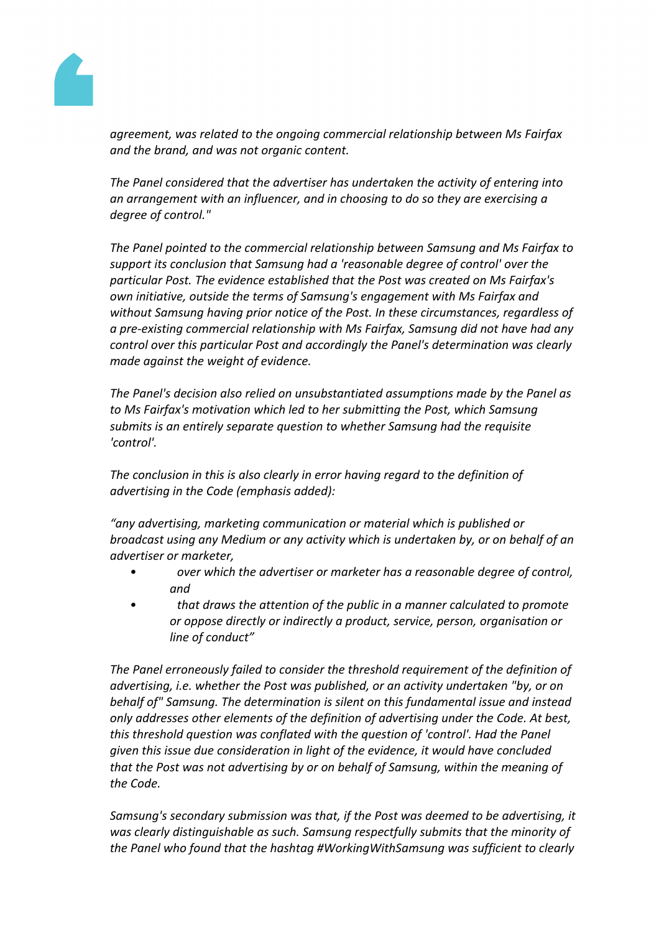

*agreement, was related to the ongoing commercial relationship between Ms Fairfax and the brand, and was not organic content.*

*The Panel considered that the advertiser has undertaken the activity of entering into an arrangement with an influencer, and in choosing to do so they are exercising a degree of control."*

*The Panel pointed to the commercial relationship between Samsung and Ms Fairfax to support its conclusion that Samsung had a 'reasonable degree of control' over the particular Post. The evidence established that the Post was created on Ms Fairfax's own initiative, outside the terms of Samsung's engagement with Ms Fairfax and without Samsung having prior notice of the Post. In these circumstances, regardless of a pre-existing commercial relationship with Ms Fairfax, Samsung did not have had any control over this particular Post and accordingly the Panel's determination was clearly made against the weight of evidence.*

*The Panel's decision also relied on unsubstantiated assumptions made by the Panel as to Ms Fairfax's motivation which led to her submitting the Post, which Samsung submits is an entirely separate question to whether Samsung had the requisite 'control'.*

*The conclusion in this is also clearly in error having regard to the definition of advertising in the Code (emphasis added):*

*"any advertising, marketing communication or material which is published or broadcast using any Medium or any activity which is undertaken by, or on behalf of an advertiser or marketer,*

- *• over which the advertiser or marketer has a reasonable degree of control, and*
- *• that draws the attention of the public in a manner calculated to promote or oppose directly or indirectly a product, service, person, organisation or line of conduct"*

*The Panel erroneously failed to consider the threshold requirement of the definition of advertising, i.e. whether the Post was published, or an activity undertaken "by, or on behalf of" Samsung. The determination is silent on this fundamental issue and instead only addresses other elements of the definition of advertising under the Code. At best, this threshold question was conflated with the question of 'control'. Had the Panel given this issue due consideration in light of the evidence, it would have concluded that the Post was not advertising by or on behalf of Samsung, within the meaning of the Code.*

*Samsung's secondary submission was that, if the Post was deemed to be advertising, it was clearly distinguishable as such. Samsung respectfully submits that the minority of the Panel who found that the hashtag #WorkingWithSamsung was sufficient to clearly*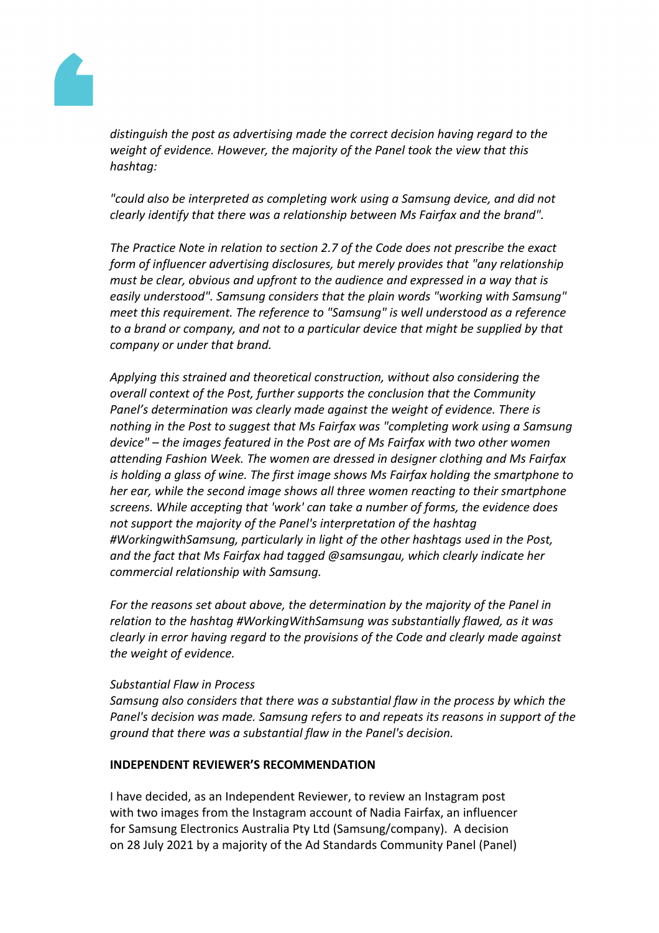

*distinguish the post as advertising made the correct decision having regard to the weight of evidence. However, the majority of the Panel took the view that this hashtag:*

*"could also be interpreted as completing work using a Samsung device, and did not clearly identify that there was a relationship between Ms Fairfax and the brand".*

*The Practice Note in relation to section 2.7 of the Code does not prescribe the exact form of influencer advertising disclosures, but merely provides that "any relationship must be clear, obvious and upfront to the audience and expressed in a way that is easily understood". Samsung considers that the plain words "working with Samsung" meet this requirement. The reference to "Samsung" is well understood as a reference to a brand or company, and not to a particular device that might be supplied by that company or under that brand.*

*Applying this strained and theoretical construction, without also considering the overall context of the Post, further supports the conclusion that the Community Panel's determination was clearly made against the weight of evidence. There is nothing in the Post to suggest that Ms Fairfax was "completing work using a Samsung device" – the images featured in the Post are of Ms Fairfax with two other women attending Fashion Week. The women are dressed in designer clothing and Ms Fairfax is holding a glass of wine. The first image shows Ms Fairfax holding the smartphone to her ear, while the second image shows all three women reacting to their smartphone screens. While accepting that 'work' can take a number of forms, the evidence does not support the majority of the Panel's interpretation of the hashtag #WorkingwithSamsung, particularly in light of the other hashtags used in the Post, and the fact that Ms Fairfax had tagged @samsungau, which clearly indicate her commercial relationship with Samsung.*

*For the reasons set about above, the determination by the majority of the Panel in relation to the hashtag #WorkingWithSamsung was substantially flawed, as it was clearly in error having regard to the provisions of the Code and clearly made against the weight of evidence.*

#### *Substantial Flaw in Process*

*Samsung also considers that there was a substantial flaw in the process by which the Panel's decision was made. Samsung refers to and repeats its reasons in support of the ground that there was a substantial flaw in the Panel's decision.*

#### **INDEPENDENT REVIEWER'S RECOMMENDATION**

I have decided, as an Independent Reviewer, to review an Instagram post with two images from the Instagram account of Nadia Fairfax, an influencer for Samsung Electronics Australia Pty Ltd (Samsung/company). A decision on 28 July 2021 by a majority of the Ad Standards Community Panel (Panel)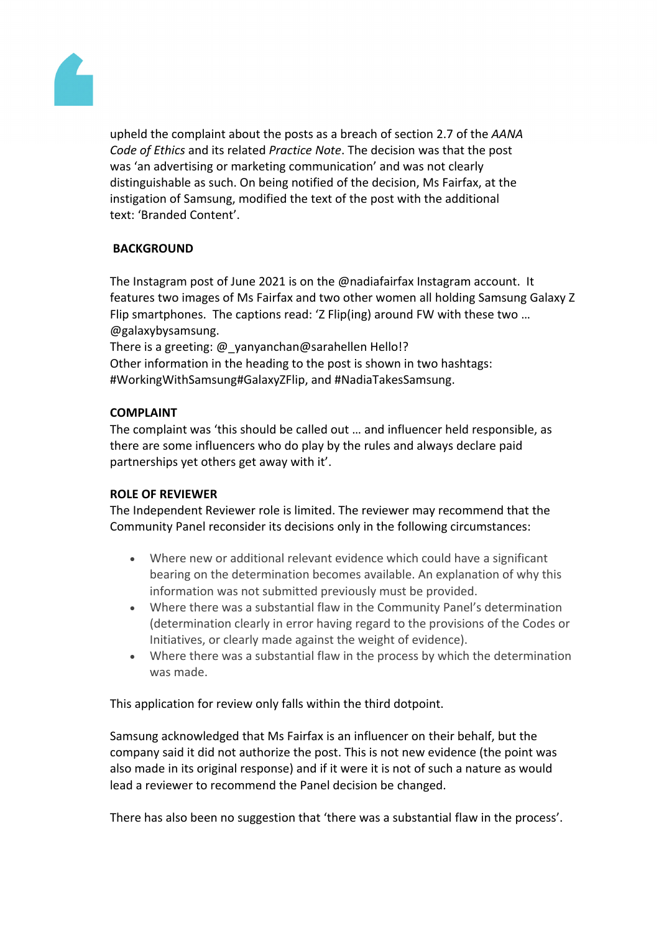

upheld the complaint about the posts as a breach of section 2.7 of the *AANA Code of Ethics* and its related *Practice Note*. The decision was that the post was 'an advertising or marketing communication' and was not clearly distinguishable as such. On being notified of the decision, Ms Fairfax, at the instigation of Samsung, modified the text of the post with the additional text: 'Branded Content'.

# **BACKGROUND**

The Instagram post of June 2021 is on the @nadiafairfax Instagram account. It features two images of Ms Fairfax and two other women all holding Samsung Galaxy Z Flip smartphones. The captions read: 'Z Flip(ing) around FW with these two … @galaxybysamsung.

There is a greeting: @ yanyanchan@sarahellen Hello!? Other information in the heading to the post is shown in two hashtags: #WorkingWithSamsung#GalaxyZFlip, and #NadiaTakesSamsung.

## **COMPLAINT**

The complaint was 'this should be called out … and influencer held responsible, as there are some influencers who do play by the rules and always declare paid partnerships yet others get away with it'.

#### **ROLE OF REVIEWER**

The Independent Reviewer role is limited. The reviewer may recommend that the Community Panel reconsider its decisions only in the following circumstances:

- Where new or additional relevant evidence which could have a significant bearing on the determination becomes available. An explanation of why this information was not submitted previously must be provided.
- Where there was a substantial flaw in the Community Panel's determination (determination clearly in error having regard to the provisions of the Codes or Initiatives, or clearly made against the weight of evidence).
- Where there was a substantial flaw in the process by which the determination was made.

This application for review only falls within the third dotpoint.

Samsung acknowledged that Ms Fairfax is an influencer on their behalf, but the company said it did not authorize the post. This is not new evidence (the point was also made in its original response) and if it were it is not of such a nature as would lead a reviewer to recommend the Panel decision be changed.

There has also been no suggestion that 'there was a substantial flaw in the process'.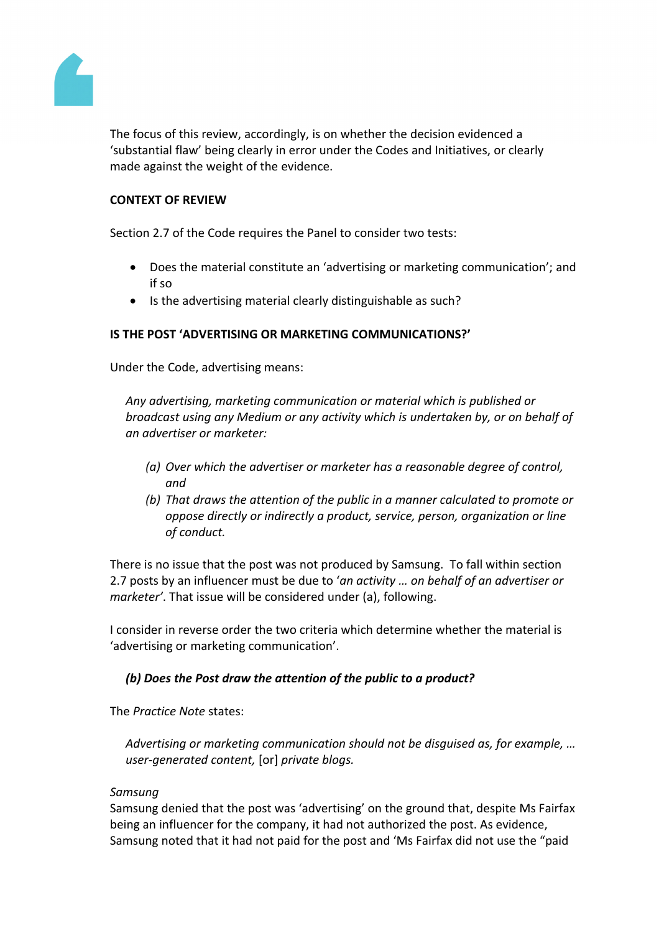

The focus of this review, accordingly, is on whether the decision evidenced a 'substantial flaw' being clearly in error under the Codes and Initiatives, or clearly made against the weight of the evidence.

## **CONTEXT OF REVIEW**

Section 2.7 of the Code requires the Panel to consider two tests:

- Does the material constitute an 'advertising or marketing communication'; and if so
- Is the advertising material clearly distinguishable as such?

# **IS THE POST 'ADVERTISING OR MARKETING COMMUNICATIONS?'**

Under the Code, advertising means:

*Any advertising, marketing communication or material which is published or broadcast using any Medium or any activity which is undertaken by, or on behalf of an advertiser or marketer:*

- *(a) Over which the advertiser or marketer has a reasonable degree of control, and*
- *(b) That draws the attention of the public in a manner calculated to promote or oppose directly or indirectly a product, service, person, organization or line of conduct.*

There is no issue that the post was not produced by Samsung. To fall within section 2.7 posts by an influencer must be due to '*an activity … on behalf of an advertiser or marketer'*. That issue will be considered under (a), following.

I consider in reverse order the two criteria which determine whether the material is 'advertising or marketing communication'.

# *(b) Does the Post draw the attention of the public to a product?*

The *Practice Note* states:

*Advertising or marketing communication should not be disguised as, for example, … user-generated content,* [or] *private blogs.*

# *Samsung*

Samsung denied that the post was 'advertising' on the ground that, despite Ms Fairfax being an influencer for the company, it had not authorized the post. As evidence, Samsung noted that it had not paid for the post and 'Ms Fairfax did not use the "paid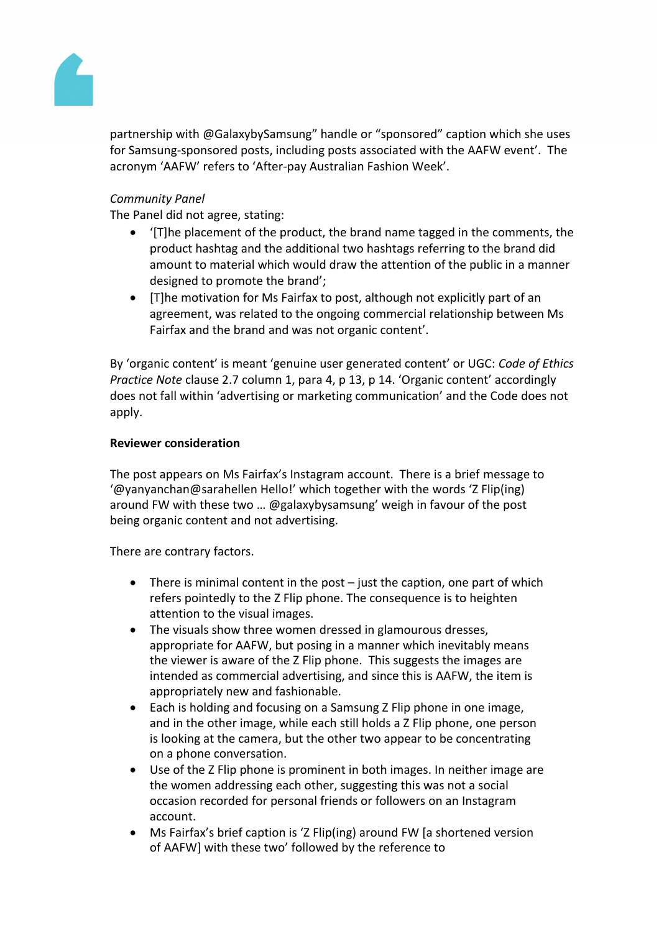

partnership with @GalaxybySamsung" handle or "sponsored" caption which she uses for Samsung-sponsored posts, including posts associated with the AAFW event'. The acronym 'AAFW' refers to 'After-pay Australian Fashion Week'.

# *Community Panel*

The Panel did not agree, stating:

- '[T]he placement of the product, the brand name tagged in the comments, the product hashtag and the additional two hashtags referring to the brand did amount to material which would draw the attention of the public in a manner designed to promote the brand';
- [T]he motivation for Ms Fairfax to post, although not explicitly part of an agreement, was related to the ongoing commercial relationship between Ms Fairfax and the brand and was not organic content'.

By 'organic content' is meant 'genuine user generated content' or UGC: *Code of Ethics Practice Note* clause 2.7 column 1, para 4, p 13, p 14. 'Organic content' accordingly does not fall within 'advertising or marketing communication' and the Code does not apply.

#### **Reviewer consideration**

The post appears on Ms Fairfax's Instagram account. There is a brief message to '@yanyanchan@sarahellen Hello!' which together with the words 'Z Flip(ing) around FW with these two … @galaxybysamsung' weigh in favour of the post being organic content and not advertising.

There are contrary factors.

- There is minimal content in the post just the caption, one part of which refers pointedly to the Z Flip phone. The consequence is to heighten attention to the visual images.
- The visuals show three women dressed in glamourous dresses, appropriate for AAFW, but posing in a manner which inevitably means the viewer is aware of the Z Flip phone. This suggests the images are intended as commercial advertising, and since this is AAFW, the item is appropriately new and fashionable.
- Each is holding and focusing on a Samsung Z Flip phone in one image, and in the other image, while each still holds a Z Flip phone, one person is looking at the camera, but the other two appear to be concentrating on a phone conversation.
- Use of the Z Flip phone is prominent in both images. In neither image are the women addressing each other, suggesting this was not a social occasion recorded for personal friends or followers on an Instagram account.
- Ms Fairfax's brief caption is 'Z Flip(ing) around FW [a shortened version of AAFW] with these two' followed by the reference to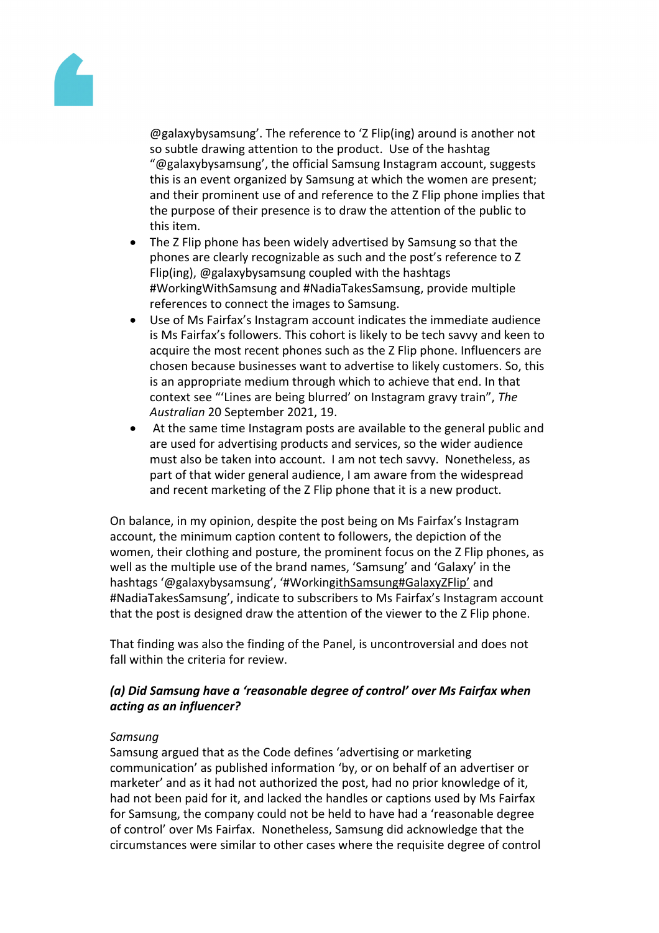

@galaxybysamsung'. The reference to 'Z Flip(ing) around is another not so subtle drawing attention to the product. Use of the hashtag "@galaxybysamsung', the official Samsung Instagram account, suggests this is an event organized by Samsung at which the women are present; and their prominent use of and reference to the Z Flip phone implies that the purpose of their presence is to draw the attention of the public to this item.

- The Z Flip phone has been widely advertised by Samsung so that the phones are clearly recognizable as such and the post's reference to Z Flip(ing), @galaxybysamsung coupled with the hashtags #WorkingWithSamsung and #NadiaTakesSamsung, provide multiple references to connect the images to Samsung.
- Use of Ms Fairfax's Instagram account indicates the immediate audience is Ms Fairfax's followers. This cohort is likely to be tech savvy and keen to acquire the most recent phones such as the Z Flip phone. Influencers are chosen because businesses want to advertise to likely customers. So, this is an appropriate medium through which to achieve that end. In that context see "'Lines are being blurred' on Instagram gravy train", *The Australian* 20 September 2021, 19.
- At the same time Instagram posts are available to the general public and are used for advertising products and services, so the wider audience must also be taken into account. I am not tech savvy. Nonetheless, as part of that wider general audience, I am aware from the widespread and recent marketing of the Z Flip phone that it is a new product.

On balance, in my opinion, despite the post being on Ms Fairfax's Instagram account, the minimum caption content to followers, the depiction of the women, their clothing and posture, the prominent focus on the Z Flip phones, as well as the multiple use of the brand names, 'Samsung' and 'Galaxy' in the hashtags '@galaxybysamsung', '#WorkingithSamsung#GalaxyZFlip' and #NadiaTakesSamsung', indicate to subscribers to Ms Fairfax's Instagram account that the post is designed draw the attention of the viewer to the Z Flip phone.

That finding was also the finding of the Panel, is uncontroversial and does not fall within the criteria for review.

# *(a) Did Samsung have a 'reasonable degree of control' over Ms Fairfax when acting as an influencer?*

# *Samsung*

Samsung argued that as the Code defines 'advertising or marketing communication' as published information 'by, or on behalf of an advertiser or marketer' and as it had not authorized the post, had no prior knowledge of it, had not been paid for it, and lacked the handles or captions used by Ms Fairfax for Samsung, the company could not be held to have had a 'reasonable degree of control' over Ms Fairfax. Nonetheless, Samsung did acknowledge that the circumstances were similar to other cases where the requisite degree of control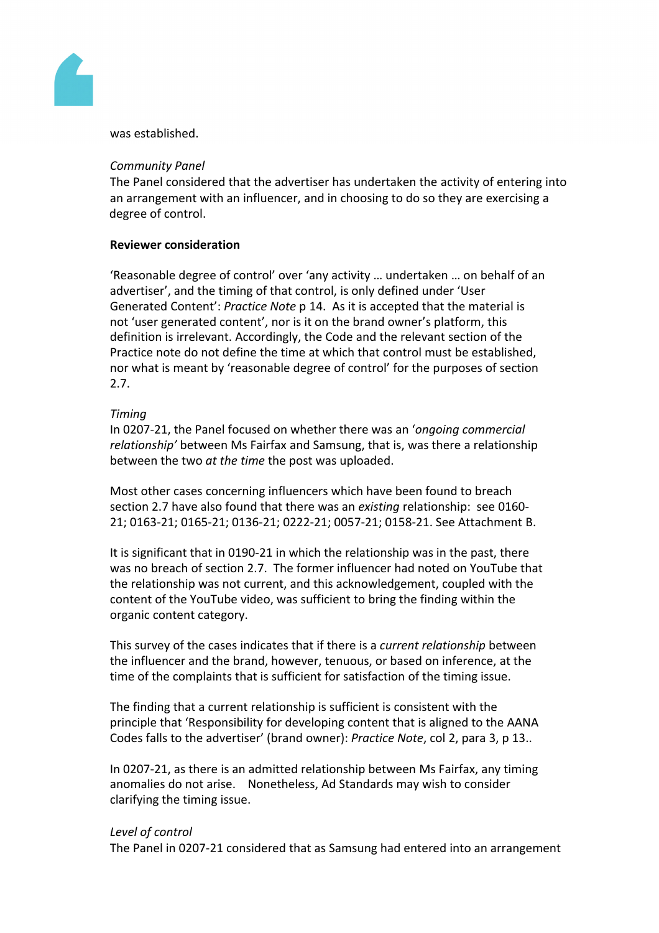

was established.

#### *Community Panel*

The Panel considered that the advertiser has undertaken the activity of entering into an arrangement with an influencer, and in choosing to do so they are exercising a degree of control.

#### **Reviewer consideration**

'Reasonable degree of control' over 'any activity … undertaken … on behalf of an advertiser', and the timing of that control, is only defined under 'User Generated Content': *Practice Note* p 14. As it is accepted that the material is not 'user generated content', nor is it on the brand owner's platform, this definition is irrelevant. Accordingly, the Code and the relevant section of the Practice note do not define the time at which that control must be established, nor what is meant by 'reasonable degree of control' for the purposes of section 2.7.

#### *Timing*

In 0207-21, the Panel focused on whether there was an '*ongoing commercial relationship'* between Ms Fairfax and Samsung, that is, was there a relationship between the two *at the time* the post was uploaded.

Most other cases concerning influencers which have been found to breach section 2.7 have also found that there was an *existing* relationship: see 0160- 21; 0163-21; 0165-21; 0136-21; 0222-21; 0057-21; 0158-21. See Attachment B.

It is significant that in 0190-21 in which the relationship was in the past, there was no breach of section 2.7. The former influencer had noted on YouTube that the relationship was not current, and this acknowledgement, coupled with the content of the YouTube video, was sufficient to bring the finding within the organic content category.

This survey of the cases indicates that if there is a *current relationship* between the influencer and the brand, however, tenuous, or based on inference, at the time of the complaints that is sufficient for satisfaction of the timing issue.

The finding that a current relationship is sufficient is consistent with the principle that 'Responsibility for developing content that is aligned to the AANA Codes falls to the advertiser' (brand owner): *Practice Note*, col 2, para 3, p 13..

In 0207-21, as there is an admitted relationship between Ms Fairfax, any timing anomalies do not arise. Nonetheless, Ad Standards may wish to consider clarifying the timing issue.

#### *Level of control*

The Panel in 0207-21 considered that as Samsung had entered into an arrangement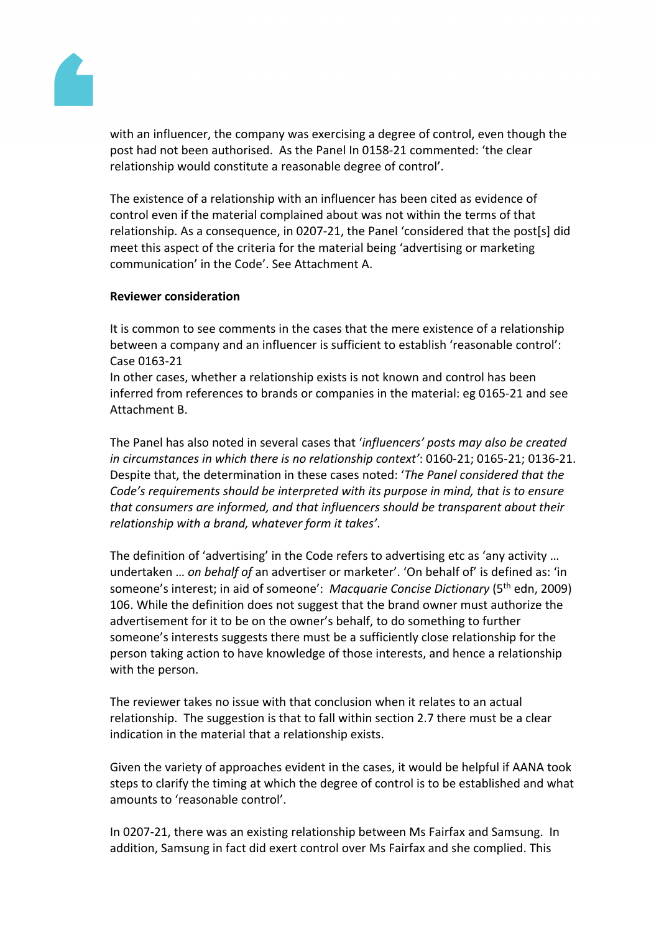

with an influencer, the company was exercising a degree of control, even though the post had not been authorised. As the Panel In 0158-21 commented: 'the clear relationship would constitute a reasonable degree of control'.

The existence of a relationship with an influencer has been cited as evidence of control even if the material complained about was not within the terms of that relationship. As a consequence, in 0207-21, the Panel 'considered that the post[s] did meet this aspect of the criteria for the material being 'advertising or marketing communication' in the Code'. See Attachment A.

#### **Reviewer consideration**

It is common to see comments in the cases that the mere existence of a relationship between a company and an influencer is sufficient to establish 'reasonable control': Case 0163-21

In other cases, whether a relationship exists is not known and control has been inferred from references to brands or companies in the material: eg 0165-21 and see Attachment B.

The Panel has also noted in several cases that '*influencers' posts may also be created in circumstances in which there is no relationship context'*: 0160-21; 0165-21; 0136-21. Despite that, the determination in these cases noted: '*The Panel considered that the Code's requirements should be interpreted with its purpose in mind, that is to ensure that consumers are informed, and that influencers should be transparent about their relationship with a brand, whatever form it takes'*.

The definition of 'advertising' in the Code refers to advertising etc as 'any activity … undertaken … *on behalf of* an advertiser or marketer'. 'On behalf of' is defined as: 'in someone's interest; in aid of someone': *Macquarie Concise Dictionary* (5th edn, 2009) 106. While the definition does not suggest that the brand owner must authorize the advertisement for it to be on the owner's behalf, to do something to further someone's interests suggests there must be a sufficiently close relationship for the person taking action to have knowledge of those interests, and hence a relationship with the person.

The reviewer takes no issue with that conclusion when it relates to an actual relationship. The suggestion is that to fall within section 2.7 there must be a clear indication in the material that a relationship exists.

Given the variety of approaches evident in the cases, it would be helpful if AANA took steps to clarify the timing at which the degree of control is to be established and what amounts to 'reasonable control'.

In 0207-21, there was an existing relationship between Ms Fairfax and Samsung. In addition, Samsung in fact did exert control over Ms Fairfax and she complied. This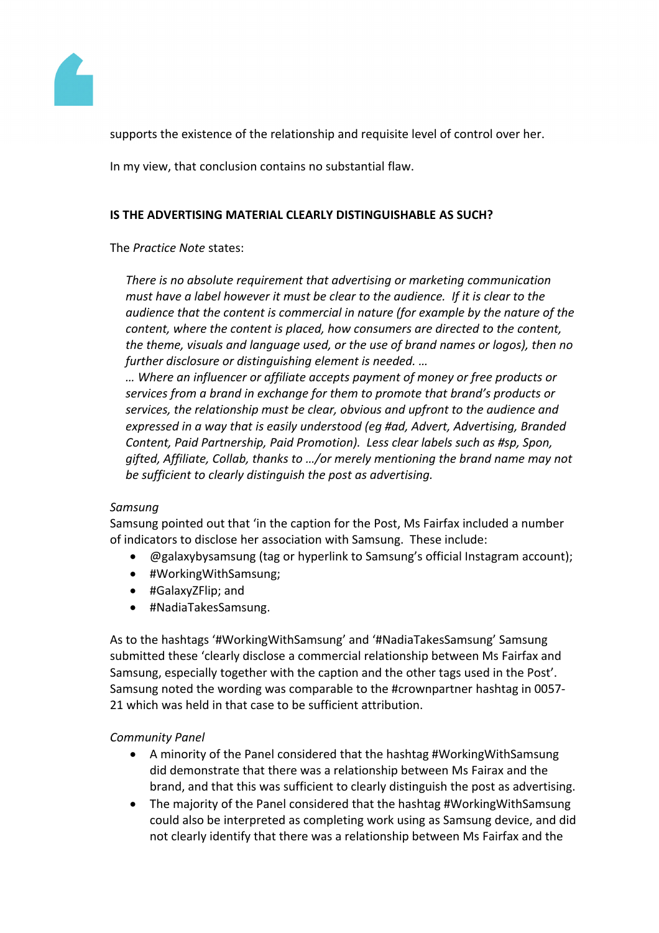

supports the existence of the relationship and requisite level of control over her.

In my view, that conclusion contains no substantial flaw.

## **IS THE ADVERTISING MATERIAL CLEARLY DISTINGUISHABLE AS SUCH?**

The *Practice Note* states:

*There is no absolute requirement that advertising or marketing communication must have a label however it must be clear to the audience. If it is clear to the audience that the content is commercial in nature (for example by the nature of the content, where the content is placed, how consumers are directed to the content, the theme, visuals and language used, or the use of brand names or logos), then no further disclosure or distinguishing element is needed. …*

*… Where an influencer or affiliate accepts payment of money or free products or services from a brand in exchange for them to promote that brand's products or services, the relationship must be clear, obvious and upfront to the audience and expressed in a way that is easily understood (eg #ad, Advert, Advertising, Branded Content, Paid Partnership, Paid Promotion). Less clear labels such as #sp, Spon, gifted, Affiliate, Collab, thanks to …/or merely mentioning the brand name may not be sufficient to clearly distinguish the post as advertising.*

# *Samsung*

Samsung pointed out that 'in the caption for the Post, Ms Fairfax included a number of indicators to disclose her association with Samsung. These include:

- @galaxybysamsung (tag or hyperlink to Samsung's official Instagram account);
- #WorkingWithSamsung;
- #GalaxyZFlip; and
- #NadiaTakesSamsung.

As to the hashtags '#WorkingWithSamsung' and '#NadiaTakesSamsung' Samsung submitted these 'clearly disclose a commercial relationship between Ms Fairfax and Samsung, especially together with the caption and the other tags used in the Post'. Samsung noted the wording was comparable to the #crownpartner hashtag in 0057- 21 which was held in that case to be sufficient attribution.

# *Community Panel*

- A minority of the Panel considered that the hashtag #WorkingWithSamsung did demonstrate that there was a relationship between Ms Fairax and the brand, and that this was sufficient to clearly distinguish the post as advertising.
- The majority of the Panel considered that the hashtag #WorkingWithSamsung could also be interpreted as completing work using as Samsung device, and did not clearly identify that there was a relationship between Ms Fairfax and the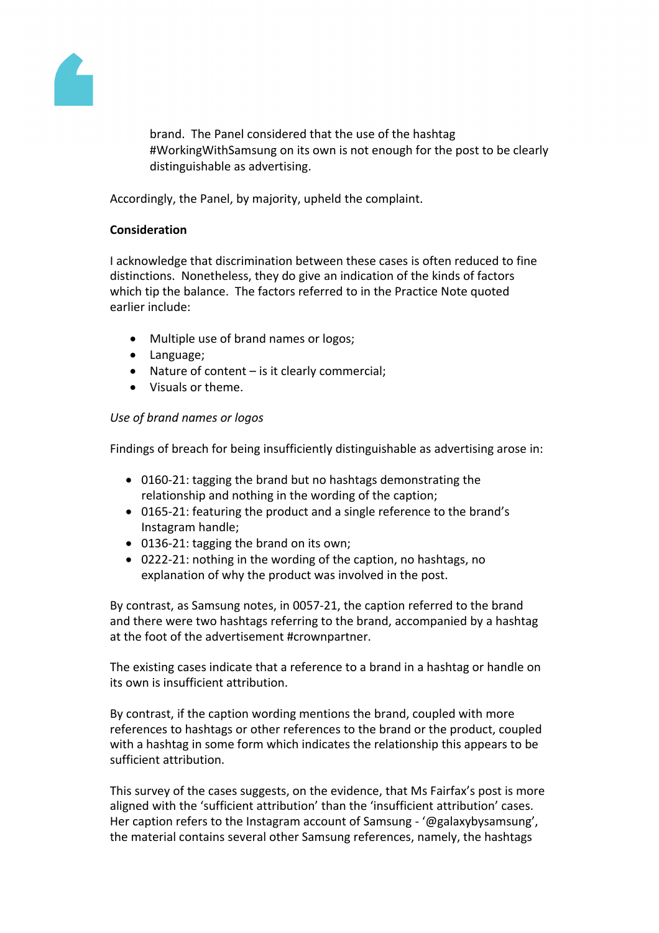

brand. The Panel considered that the use of the hashtag #WorkingWithSamsung on its own is not enough for the post to be clearly distinguishable as advertising.

Accordingly, the Panel, by majority, upheld the complaint.

## **Consideration**

I acknowledge that discrimination between these cases is often reduced to fine distinctions. Nonetheless, they do give an indication of the kinds of factors which tip the balance. The factors referred to in the Practice Note quoted earlier include:

- Multiple use of brand names or logos;
- Language;
- Nature of content is it clearly commercial;
- Visuals or theme.

## *Use of brand names or logos*

Findings of breach for being insufficiently distinguishable as advertising arose in:

- 0160-21: tagging the brand but no hashtags demonstrating the relationship and nothing in the wording of the caption;
- 0165-21: featuring the product and a single reference to the brand's Instagram handle;
- 0136-21: tagging the brand on its own;
- 0222-21: nothing in the wording of the caption, no hashtags, no explanation of why the product was involved in the post.

By contrast, as Samsung notes, in 0057-21, the caption referred to the brand and there were two hashtags referring to the brand, accompanied by a hashtag at the foot of the advertisement #crownpartner.

The existing cases indicate that a reference to a brand in a hashtag or handle on its own is insufficient attribution.

By contrast, if the caption wording mentions the brand, coupled with more references to hashtags or other references to the brand or the product, coupled with a hashtag in some form which indicates the relationship this appears to be sufficient attribution.

This survey of the cases suggests, on the evidence, that Ms Fairfax's post is more aligned with the 'sufficient attribution' than the 'insufficient attribution' cases. Her caption refers to the Instagram account of Samsung - '@galaxybysamsung', the material contains several other Samsung references, namely, the hashtags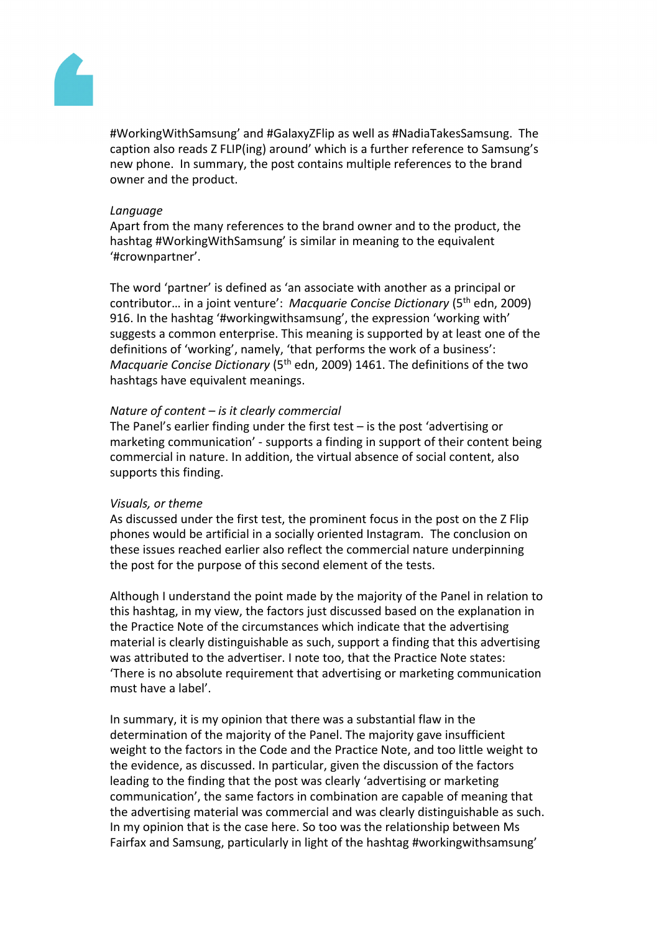

#WorkingWithSamsung' and #GalaxyZFlip as well as #NadiaTakesSamsung. The caption also reads Z FLIP(ing) around' which is a further reference to Samsung's new phone. In summary, the post contains multiple references to the brand owner and the product.

#### *Language*

Apart from the many references to the brand owner and to the product, the hashtag #WorkingWithSamsung' is similar in meaning to the equivalent '#crownpartner'.

The word 'partner' is defined as 'an associate with another as a principal or contributor… in a joint venture': *Macquarie Concise Dictionary* (5th edn, 2009) 916. In the hashtag '#workingwithsamsung', the expression 'working with' suggests a common enterprise. This meaning is supported by at least one of the definitions of 'working', namely, 'that performs the work of a business': *Macquarie Concise Dictionary* (5th edn, 2009) 1461. The definitions of the two hashtags have equivalent meanings.

#### *Nature of content – is it clearly commercial*

The Panel's earlier finding under the first test – is the post 'advertising or marketing communication' - supports a finding in support of their content being commercial in nature. In addition, the virtual absence of social content, also supports this finding.

#### *Visuals, or theme*

As discussed under the first test, the prominent focus in the post on the Z Flip phones would be artificial in a socially oriented Instagram. The conclusion on these issues reached earlier also reflect the commercial nature underpinning the post for the purpose of this second element of the tests.

Although I understand the point made by the majority of the Panel in relation to this hashtag, in my view, the factors just discussed based on the explanation in the Practice Note of the circumstances which indicate that the advertising material is clearly distinguishable as such, support a finding that this advertising was attributed to the advertiser. I note too, that the Practice Note states: 'There is no absolute requirement that advertising or marketing communication must have a label'.

In summary, it is my opinion that there was a substantial flaw in the determination of the majority of the Panel. The majority gave insufficient weight to the factors in the Code and the Practice Note, and too little weight to the evidence, as discussed. In particular, given the discussion of the factors leading to the finding that the post was clearly 'advertising or marketing communication', the same factors in combination are capable of meaning that the advertising material was commercial and was clearly distinguishable as such. In my opinion that is the case here. So too was the relationship between Ms Fairfax and Samsung, particularly in light of the hashtag #workingwithsamsung'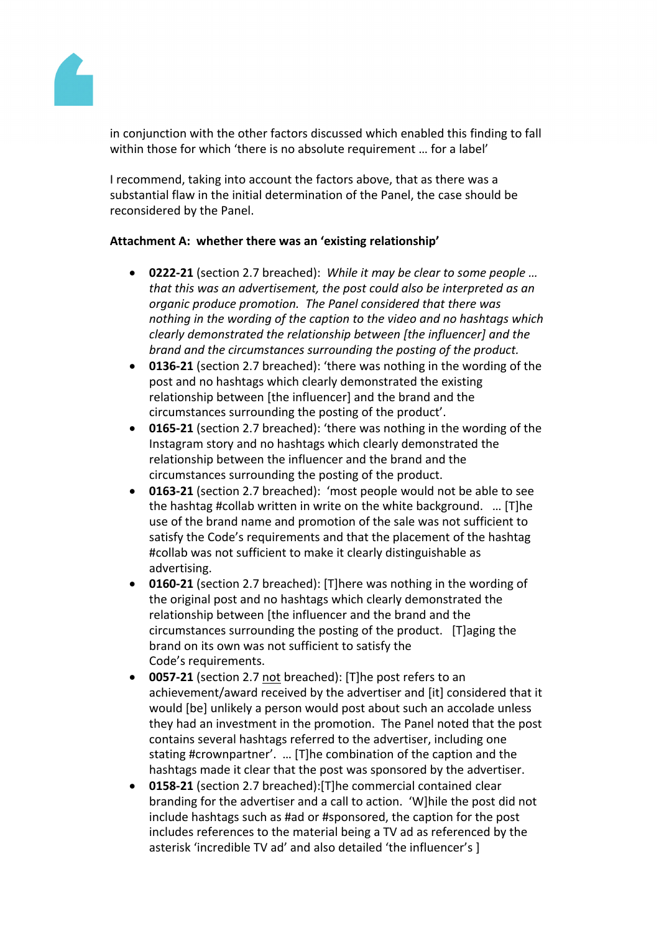

in conjunction with the other factors discussed which enabled this finding to fall within those for which 'there is no absolute requirement ... for a label'

I recommend, taking into account the factors above, that as there was a substantial flaw in the initial determination of the Panel, the case should be reconsidered by the Panel.

## **Attachment A:****whether there was an 'existing relationship'**

- **0222-21** (section 2.7 breached): *While it may be clear to some people … that this was an advertisement, the post could also be interpreted as an organic produce promotion. The Panel considered that there was nothing in the wording of the caption to the video and no hashtags which clearly demonstrated the relationship between [the influencer] and the brand and the circumstances surrounding the posting of the product.*
- **0136-21** (section 2.7 breached): 'there was nothing in the wording of the post and no hashtags which clearly demonstrated the existing relationship between [the influencer] and the brand and the circumstances surrounding the posting of the product'.
- **0165-21** (section 2.7 breached): 'there was nothing in the wording of the Instagram story and no hashtags which clearly demonstrated the relationship between the influencer and the brand and the circumstances surrounding the posting of the product.
- **0163-21** (section 2.7 breached): 'most people would not be able to see the hashtag #collab written in write on the white background. … [T]he use of the brand name and promotion of the sale was not sufficient to satisfy the Code's requirements and that the placement of the hashtag #collab was not sufficient to make it clearly distinguishable as advertising.
- **0160-21** (section 2.7 breached): [T]here was nothing in the wording of the original post and no hashtags which clearly demonstrated the relationship between [the influencer and the brand and the circumstances surrounding the posting of the product. [T]aging the brand on its own was not sufficient to satisfy the Code's requirements.
- **0057-21** (section 2.7 not breached): [T]he post refers to an achievement/award received by the advertiser and [it] considered that it would [be] unlikely a person would post about such an accolade unless they had an investment in the promotion. The Panel noted that the post contains several hashtags referred to the advertiser, including one stating #crownpartner'. … [T]he combination of the caption and the hashtags made it clear that the post was sponsored by the advertiser.
- **0158-21** (section 2.7 breached):[T]he commercial contained clear branding for the advertiser and a call to action. 'W]hile the post did not include hashtags such as #ad or #sponsored, the caption for the post includes references to the material being a TV ad as referenced by the asterisk 'incredible TV ad' and also detailed 'the influencer's ]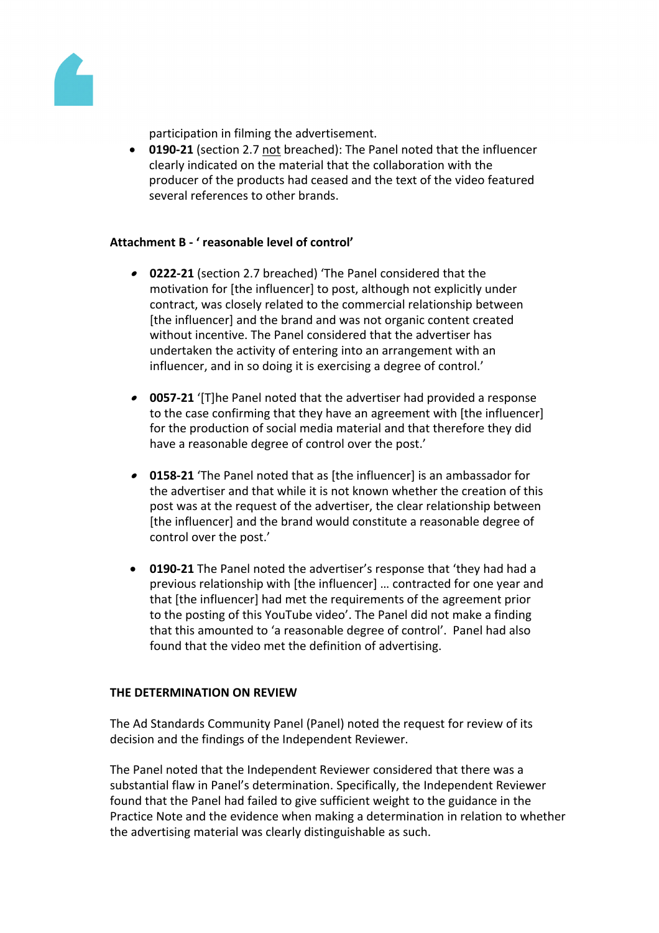

participation in filming the advertisement.

 **0190-21** (section 2.7 not breached): The Panel noted that the influencer clearly indicated on the material that the collaboration with the producer of the products had ceased and the text of the video featured several references to other brands.

## **Attachment B - ' reasonable level of control'**

- **0222-21** (section 2.7 breached) 'The Panel considered that the motivation for [the influencer] to post, although not explicitly under contract, was closely related to the commercial relationship between [the influencer] and the brand and was not organic content created without incentive. The Panel considered that the advertiser has undertaken the activity of entering into an arrangement with an influencer, and in so doing it is exercising a degree of control.'
- **0057-21** '[T]he Panel noted that the advertiser had provided a response to the case confirming that they have an agreement with [the influencer] for the production of social media material and that therefore they did have a reasonable degree of control over the post.'
- **0158-21** 'The Panel noted that as [the influencer] is an ambassador for the advertiser and that while it is not known whether the creation of this post was at the request of the advertiser, the clear relationship between [the influencer] and the brand would constitute a reasonable degree of control over the post.'
- **0190-21** The Panel noted the advertiser's response that 'they had had a previous relationship with [the influencer] … contracted for one year and that [the influencer] had met the requirements of the agreement prior to the posting of this YouTube video'. The Panel did not make a finding that this amounted to 'a reasonable degree of control'. Panel had also found that the video met the definition of advertising.

#### **THE DETERMINATION ON REVIEW**

The Ad Standards Community Panel (Panel) noted the request for review of its decision and the findings of the Independent Reviewer.

The Panel noted that the Independent Reviewer considered that there was a substantial flaw in Panel's determination. Specifically, the Independent Reviewer found that the Panel had failed to give sufficient weight to the guidance in the Practice Note and the evidence when making a determination in relation to whether the advertising material was clearly distinguishable as such.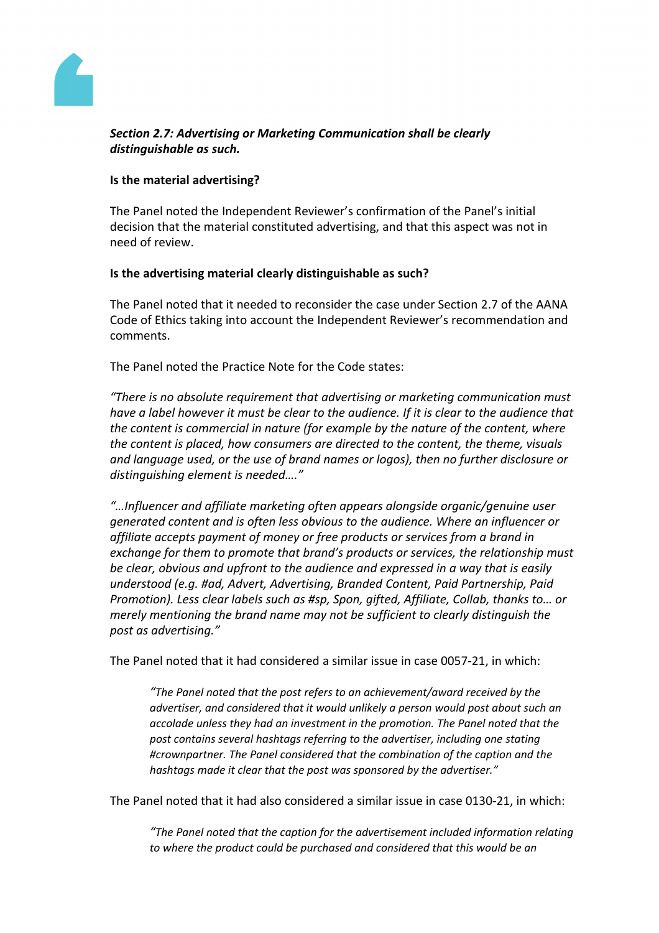

## *Section 2.7: Advertising or Marketing Communication shall be clearly distinguishable as such.*

## **Is the material advertising?**

The Panel noted the Independent Reviewer's confirmation of the Panel's initial decision that the material constituted advertising, and that this aspect was not in need of review.

#### **Is the advertising material clearly distinguishable as such?**

The Panel noted that it needed to reconsider the case under Section 2.7 of the AANA Code of Ethics taking into account the Independent Reviewer's recommendation and comments.

The Panel noted the Practice Note for the Code states:

*"There is no absolute requirement that advertising or marketing communication must have a label however it must be clear to the audience. If it is clear to the audience that the content is commercial in nature (for example by the nature of the content, where the content is placed, how consumers are directed to the content, the theme, visuals and language used, or the use of brand names or logos), then no further disclosure or distinguishing element is needed…."*

*"…Influencer and affiliate marketing often appears alongside organic/genuine user generated content and is often less obvious to the audience. Where an influencer or affiliate accepts payment of money or free products or services from a brand in exchange for them to promote that brand's products or services, the relationship must be clear, obvious and upfront to the audience and expressed in a way that is easily understood (e.g. #ad, Advert, Advertising, Branded Content, Paid Partnership, Paid Promotion). Less clear labels such as #sp, Spon, gifted, Affiliate, Collab, thanks to… or merely mentioning the brand name may not be sufficient to clearly distinguish the post as advertising."*

The Panel noted that it had considered a similar issue in case 0057-21, in which:

*"The Panel noted that the post refers to an achievement/award received by the advertiser, and considered that it would unlikely a person would post about such an accolade unless they had an investment in the promotion. The Panel noted that the post contains several hashtags referring to the advertiser, including one stating #crownpartner. The Panel considered that the combination of the caption and the hashtags made it clear that the post was sponsored by the advertiser."*

The Panel noted that it had also considered a similar issue in case 0130-21, in which:

*"The Panel noted that the caption for the advertisement included information relating to where the product could be purchased and considered that this would be an*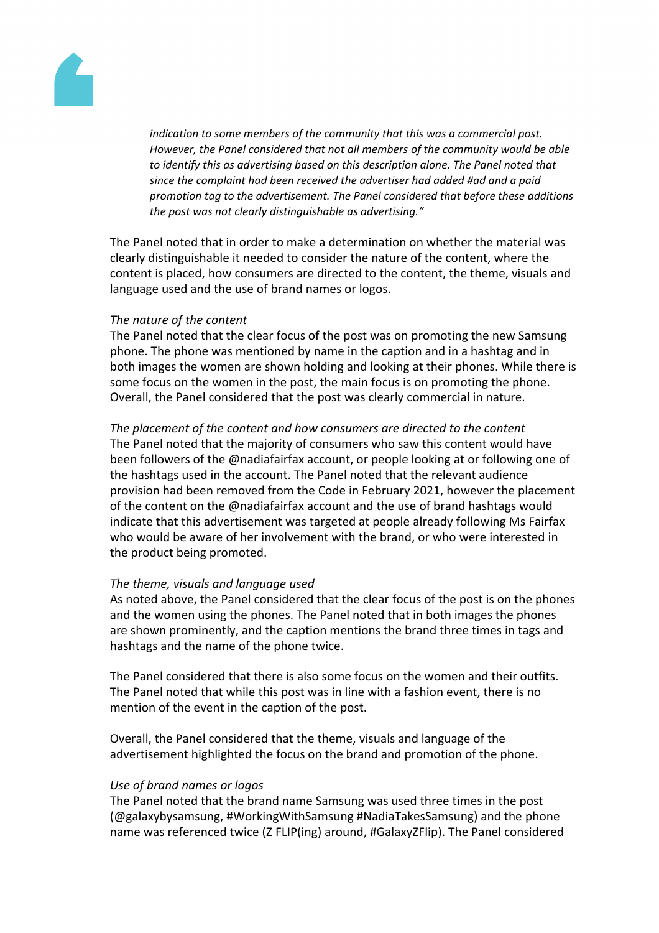

*indication to some members of the community that this was a commercial post. However, the Panel considered that not all members of the community would be able to identify this as advertising based on this description alone. The Panel noted that since the complaint had been received the advertiser had added #ad and a paid promotion tag to the advertisement. The Panel considered that before these additions the post was not clearly distinguishable as advertising."*

The Panel noted that in order to make a determination on whether the material was clearly distinguishable it needed to consider the nature of the content, where the content is placed, how consumers are directed to the content, the theme, visuals and language used and the use of brand names or logos.

#### *The nature of the content*

The Panel noted that the clear focus of the post was on promoting the new Samsung phone. The phone was mentioned by name in the caption and in a hashtag and in both images the women are shown holding and looking at their phones. While there is some focus on the women in the post, the main focus is on promoting the phone. Overall, the Panel considered that the post was clearly commercial in nature.

*The placement of the content and how consumers are directed to the content* The Panel noted that the majority of consumers who saw this content would have been followers of the @nadiafairfax account, or people looking at or following one of the hashtags used in the account. The Panel noted that the relevant audience provision had been removed from the Code in February 2021, however the placement of the content on the @nadiafairfax account and the use of brand hashtags would indicate that this advertisement was targeted at people already following Ms Fairfax who would be aware of her involvement with the brand, or who were interested in the product being promoted.

#### *The theme, visuals and language used*

As noted above, the Panel considered that the clear focus of the post is on the phones and the women using the phones. The Panel noted that in both images the phones are shown prominently, and the caption mentions the brand three times in tags and hashtags and the name of the phone twice.

The Panel considered that there is also some focus on the women and their outfits. The Panel noted that while this post was in line with a fashion event, there is no mention of the event in the caption of the post.

Overall, the Panel considered that the theme, visuals and language of the advertisement highlighted the focus on the brand and promotion of the phone.

#### *Use of brand names or logos*

The Panel noted that the brand name Samsung was used three times in the post (@galaxybysamsung, #WorkingWithSamsung #NadiaTakesSamsung) and the phone name was referenced twice (Z FLIP(ing) around, #GalaxyZFlip). The Panel considered